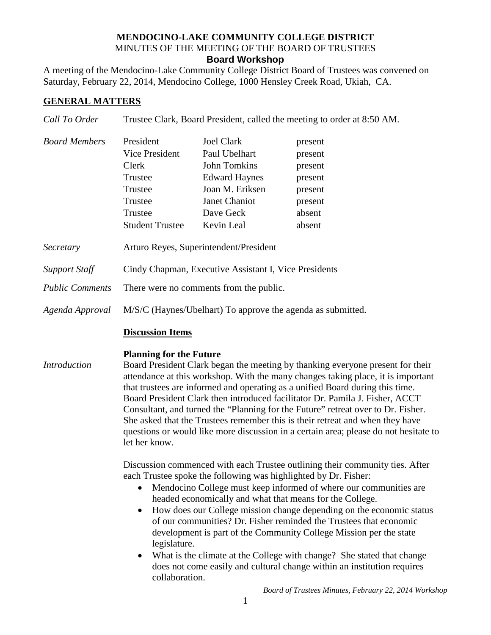### **MENDOCINO-LAKE COMMUNITY COLLEGE DISTRICT** MINUTES OF THE MEETING OF THE BOARD OF TRUSTEES **Board Workshop**

A meeting of the Mendocino-Lake Community College District Board of Trustees was convened on Saturday, February 22, 2014, Mendocino College, 1000 Hensley Creek Road, Ukiah, CA.

# **GENERAL MATTERS**

| Call To Order                                                     | Trustee Clark, Board President, called the meeting to order at 8:50 AM.                                                                                                                                                                                                                                                                                                                                                                                                                                                                                                                                                                                                                             |                                                                                                                                                         |                                                                                    |
|-------------------------------------------------------------------|-----------------------------------------------------------------------------------------------------------------------------------------------------------------------------------------------------------------------------------------------------------------------------------------------------------------------------------------------------------------------------------------------------------------------------------------------------------------------------------------------------------------------------------------------------------------------------------------------------------------------------------------------------------------------------------------------------|---------------------------------------------------------------------------------------------------------------------------------------------------------|------------------------------------------------------------------------------------|
| <b>Board Members</b>                                              | President<br>Vice President<br>Clerk<br>Trustee<br>Trustee<br>Trustee<br>Trustee<br><b>Student Trustee</b>                                                                                                                                                                                                                                                                                                                                                                                                                                                                                                                                                                                          | <b>Joel Clark</b><br>Paul Ubelhart<br><b>John Tomkins</b><br><b>Edward Haynes</b><br>Joan M. Eriksen<br><b>Janet Chaniot</b><br>Dave Geck<br>Kevin Leal | present<br>present<br>present<br>present<br>present<br>present<br>absent<br>absent |
| Secretary                                                         | Arturo Reyes, Superintendent/President                                                                                                                                                                                                                                                                                                                                                                                                                                                                                                                                                                                                                                                              |                                                                                                                                                         |                                                                                    |
| <b>Support Staff</b><br><b>Public Comments</b><br>Agenda Approval | Cindy Chapman, Executive Assistant I, Vice Presidents<br>There were no comments from the public.<br>M/S/C (Haynes/Ubelhart) To approve the agenda as submitted.<br><b>Discussion Items</b>                                                                                                                                                                                                                                                                                                                                                                                                                                                                                                          |                                                                                                                                                         |                                                                                    |
|                                                                   |                                                                                                                                                                                                                                                                                                                                                                                                                                                                                                                                                                                                                                                                                                     |                                                                                                                                                         |                                                                                    |
| <b>Introduction</b>                                               | <b>Planning for the Future</b><br>Board President Clark began the meeting by thanking everyone present for their<br>attendance at this workshop. With the many changes taking place, it is important<br>that trustees are informed and operating as a unified Board during this time.<br>Board President Clark then introduced facilitator Dr. Pamila J. Fisher, ACCT<br>Consultant, and turned the "Planning for the Future" retreat over to Dr. Fisher.<br>She asked that the Trustees remember this is their retreat and when they have<br>questions or would like more discussion in a certain area; please do not hesitate to<br>let her know.                                                 |                                                                                                                                                         |                                                                                    |
|                                                                   | Discussion commenced with each Trustee outlining their community ties. After<br>each Trustee spoke the following was highlighted by Dr. Fisher:<br>Mendocino College must keep informed of where our communities are<br>headed economically and what that means for the College.<br>How does our College mission change depending on the economic status<br>$\bullet$<br>of our communities? Dr. Fisher reminded the Trustees that economic<br>development is part of the Community College Mission per the state<br>legislature.<br>What is the climate at the College with change? She stated that change<br>$\bullet$<br>does not come easily and cultural change within an institution requires |                                                                                                                                                         |                                                                                    |

*Board of Trustees Minutes, February 22, 2014 Workshop*

collaboration.